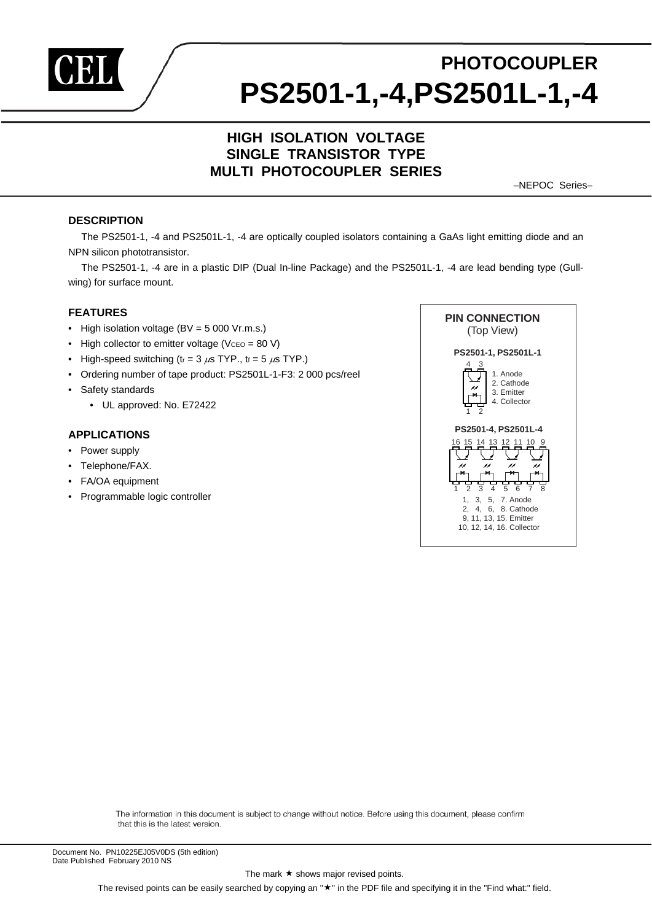

# **PHOTOCOUPLER PS2501-1,-4,PS2501L-1,-4**

# **HIGH ISOLATION VOLTAGE SINGLE TRANSISTOR TYPE MULTI PHOTOCOUPLER SERIES**

−NEPOC Series−

#### **DESCRIPTION**

The PS2501-1, -4 and PS2501L-1, -4 are optically coupled isolators containing a GaAs light emitting diode and an NPN silicon phototransistor.

The PS2501-1, -4 are in a plastic DIP (Dual In-line Package) and the PS2501L-1, -4 are lead bending type (Gullwing) for surface mount.

#### **FEATURES**

- High isolation voltage  $(BV = 5000 Vr.m.s.)$
- High collector to emitter voltage ( $Vceo = 80 V$ )
- High-speed switching ( $t_r = 3 \mu s$  TYP.,  $t_f = 5 \mu s$  TYP.)
- Ordering number of tape product: PS2501L-1-F3: 2 000 pcs/reel
- Safety standards
	- UL approved: No. E72422

#### **APPLICATIONS**

- Power supply
- Telephone/FAX.
- FA/OA equipment
- Programmable logic controller



The information in this document is subject to change without notice. Before using this document, please confirm that this is the latest version.

The mark  $\star$  shows major revised points.

The revised points can be easily searched by copying an " $\star$ " in the PDF file and specifying it in the "Find what:" field.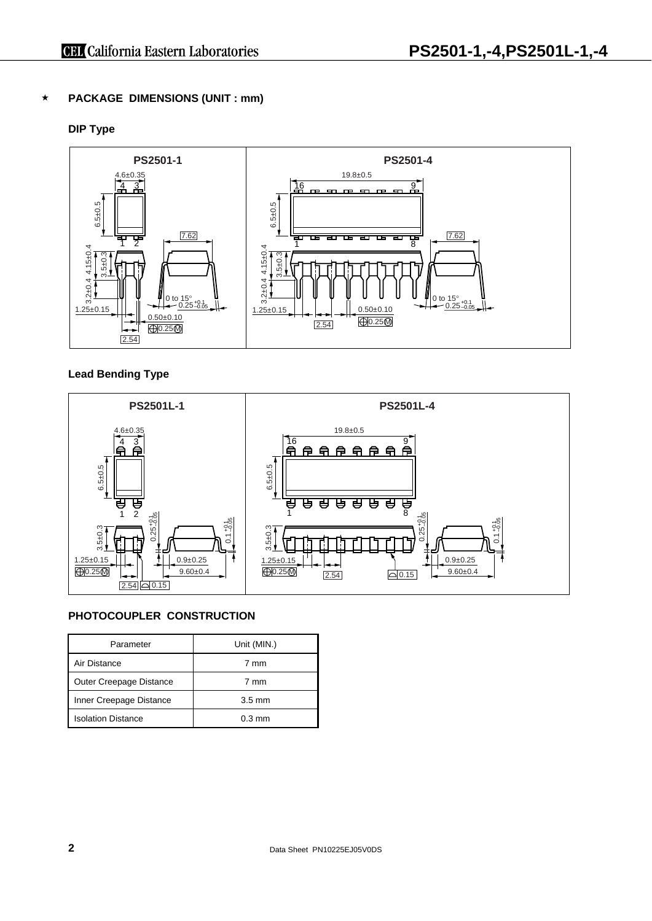# **PACKAGE DIMENSIONS (UNIT : mm)**

# **DIP Type**



# **Lead Bending Type**



# **PHOTOCOUPLER CONSTRUCTION**

| Parameter                 | Unit (MIN.)      |
|---------------------------|------------------|
| Air Distance              | 7 mm             |
| Outer Creepage Distance   | 7 mm             |
| Inner Creepage Distance   | $3.5 \text{ mm}$ |
| <b>Isolation Distance</b> | $0.3 \text{ mm}$ |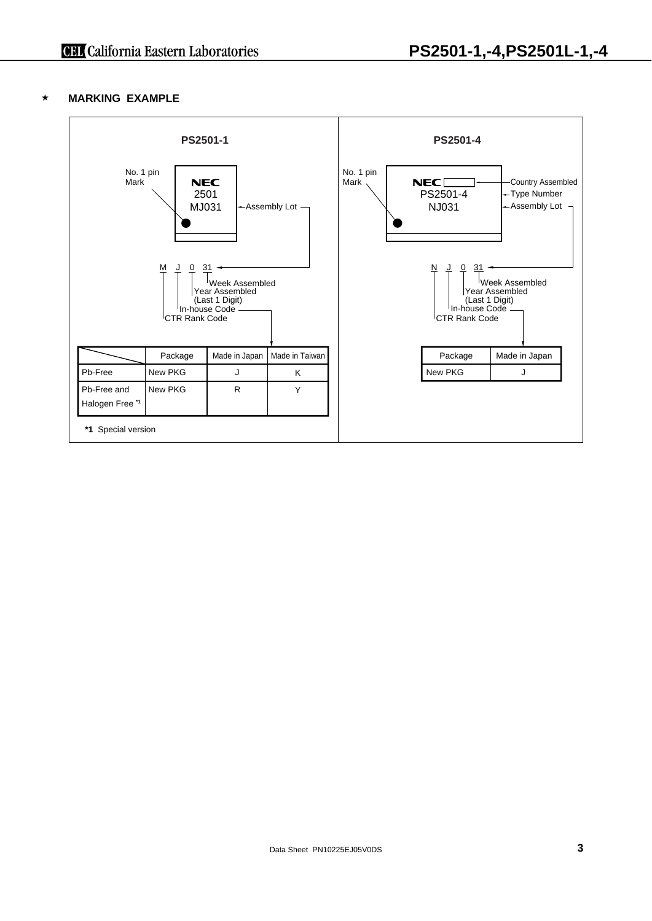# **MARKING EXAMPLE**

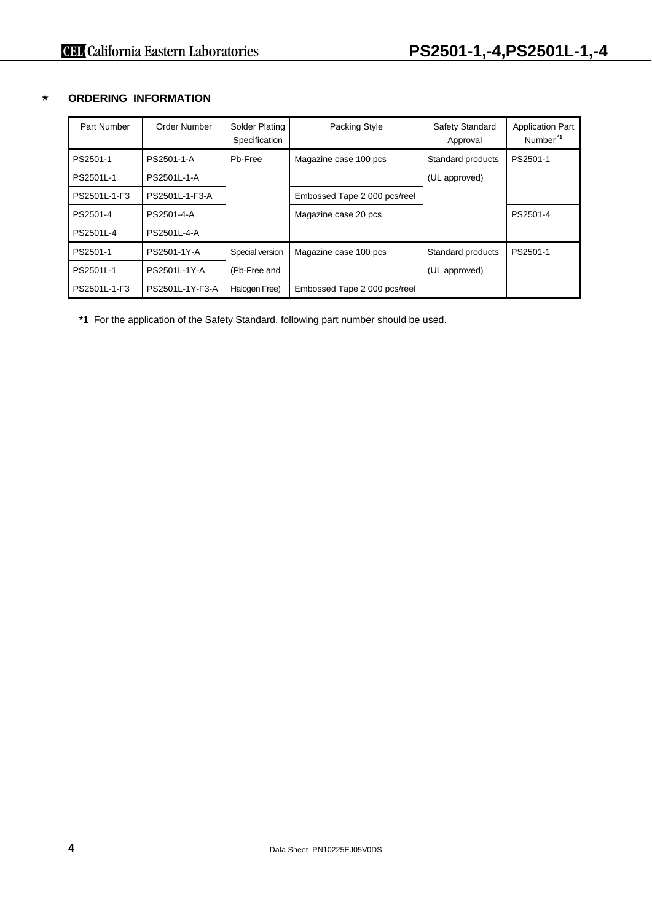# **ORDERING INFORMATION**

| Part Number  | Order Number    | Solder Plating<br>Specification | Packing Style                | Safety Standard<br>Approval | <b>Application Part</b><br>Number <sup>*1</sup> |
|--------------|-----------------|---------------------------------|------------------------------|-----------------------------|-------------------------------------------------|
| PS2501-1     | PS2501-1-A      | Pb-Free                         | Magazine case 100 pcs        | Standard products           | PS2501-1                                        |
| PS2501L-1    | PS2501L-1-A     |                                 |                              | (UL approved)               |                                                 |
| PS2501L-1-F3 | PS2501L-1-F3-A  |                                 | Embossed Tape 2 000 pcs/reel |                             |                                                 |
| PS2501-4     | PS2501-4-A      |                                 | Magazine case 20 pcs         |                             | PS2501-4                                        |
| PS2501L-4    | PS2501L-4-A     |                                 |                              |                             |                                                 |
| PS2501-1     | PS2501-1Y-A     | Special version                 | Magazine case 100 pcs        | Standard products           | PS2501-1                                        |
| PS2501L-1    | PS2501L-1Y-A    | (Pb-Free and                    |                              | (UL approved)               |                                                 |
| PS2501L-1-F3 | PS2501L-1Y-F3-A | Halogen Free)                   | Embossed Tape 2 000 pcs/reel |                             |                                                 |

**\*1** For the application of the Safety Standard, following part number should be used.

**4** Data Sheet PN10225EJ05V0DS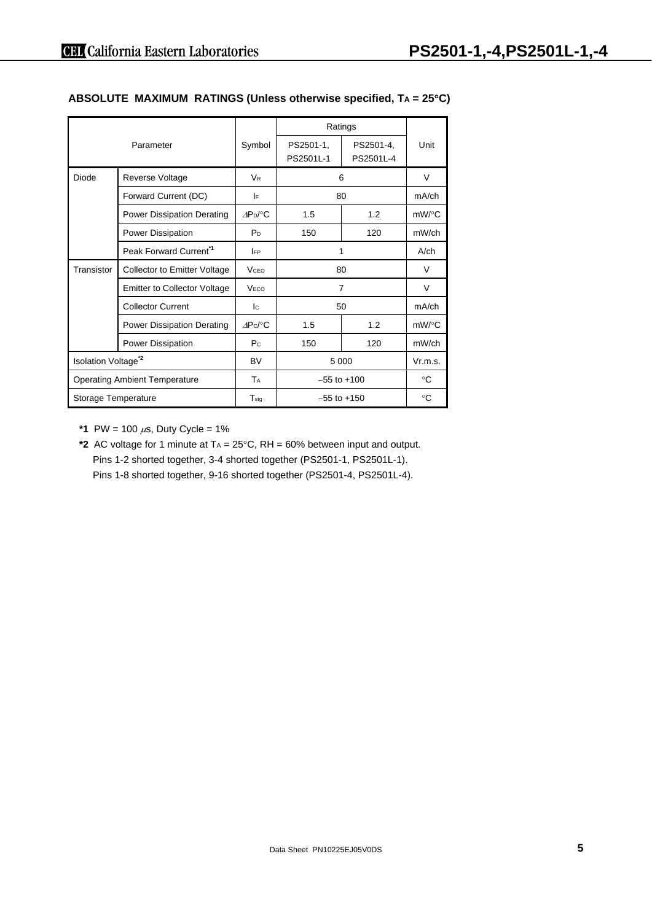| Parameter                             |                                     |                           | Ratings                |                        |            |
|---------------------------------------|-------------------------------------|---------------------------|------------------------|------------------------|------------|
|                                       |                                     | Symbol                    | PS2501-1,<br>PS2501L-1 | PS2501-4,<br>PS2501L-4 | Unit       |
| Diode                                 | Reverse Voltage                     | <b>V<sub>R</sub></b>      |                        | 6                      | V          |
|                                       | Forward Current (DC)                | I۴                        |                        | 80                     | mA/ch      |
|                                       | <b>Power Dissipation Derating</b>   | $AP_D$ /°C                | 1.5                    | 1.2                    | $mW$ /°C   |
|                                       | Power Dissipation                   | P <sub>D</sub>            | 150                    | 120                    | mW/ch      |
|                                       | Peak Forward Current <sup>*1</sup>  | <b>IFP</b>                | 1                      |                        | $A$ / $ch$ |
| Transistor                            | Collector to Emitter Voltage        | <b>V</b> <sub>CEO</sub>   | 80                     |                        | V          |
|                                       | <b>Emitter to Collector Voltage</b> | V <sub>ECO</sub>          |                        | $\overline{7}$         | V          |
|                                       | <b>Collector Current</b>            | $\mathsf{I}^{\mathsf{C}}$ | 50                     |                        | mA/ch      |
|                                       | <b>Power Dissipation Derating</b>   | $\triangle P$ c/°C        | 1.5                    | 1.2                    | $mW$ /°C   |
|                                       | <b>Power Dissipation</b>            | P <sub>C</sub>            | 150                    | 120                    | mW/ch      |
| <b>Isolation Voltage<sup>*2</sup></b> |                                     | BV                        |                        | 5 0 0 0                | Vr.m.s.    |
| <b>Operating Ambient Temperature</b>  |                                     | TA                        | $-55$ to $+100$        |                        | °C         |
| Storage Temperature                   |                                     | $T_{\text{stq}}$          | $-55$ to $+150$        |                        | °C         |

## **ABSOLUTE MAXIMUM RATINGS (Unless otherwise specified, TA = 25**°**C)**

**\*1** PW = 100  $\mu$ s, Duty Cycle = 1%

**\*2** AC voltage for 1 minute at TA = 25°C, RH = 60% between input and output. Pins 1-2 shorted together, 3-4 shorted together (PS2501-1, PS2501L-1). Pins 1-8 shorted together, 9-16 shorted together (PS2501-4, PS2501L-4).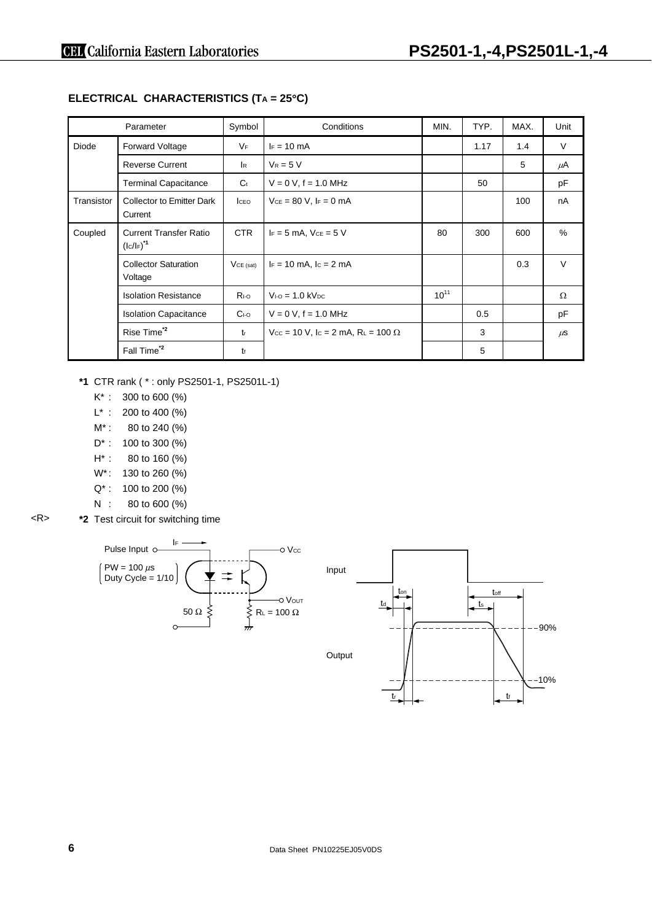|            | Parameter                                    | Symbol         | Conditions                                         | MIN.      | TYP. | MAX. | Unit    |
|------------|----------------------------------------------|----------------|----------------------------------------------------|-----------|------|------|---------|
| Diode      | <b>Forward Voltage</b>                       | VF             | $F = 10$ mA                                        |           | 1.17 | 1.4  | V       |
|            | <b>Reverse Current</b>                       | <b>I</b> R     | $V_R = 5 V$                                        |           |      | 5    | μA      |
|            | <b>Terminal Capacitance</b>                  | C <sub>t</sub> | $V = 0 V$ , $f = 1.0 MHz$                          |           | 50   |      | pF      |
| Transistor | <b>Collector to Emitter Dark</b><br>Current  | <b>I</b> CEO   | $V_{CE} = 80 V$ , $F = 0$ mA                       |           |      | 100  | nA      |
| Coupled    | <b>Current Transfer Ratio</b><br>$(lc/lF)*1$ | <b>CTR</b>     | $I_F = 5$ mA, $V_{CE} = 5$ V                       | 80        | 300  | 600  | %       |
|            | <b>Collector Saturation</b><br>Voltage       | $VCE$ (sat)    | $I_F = 10$ mA, $I_C = 2$ mA                        |           |      | 0.3  | $\vee$  |
|            | <b>Isolation Resistance</b>                  | $R_{I-O}$      | $V_{1-0} = 1.0$ kV <sub>pc</sub>                   | $10^{11}$ |      |      | Ω       |
|            | <b>Isolation Capacitance</b>                 | $C1-O$         | $V = 0 V$ , f = 1.0 MHz                            |           | 0.5  |      | pF      |
|            | Rise Time <sup>*2</sup>                      | $t_{r}$        | $V_{CC}$ = 10 V, lc = 2 mA, R <sub>L</sub> = 100 Ω |           | 3    |      | $\mu$ S |
|            | Fall Time <sup>*2</sup>                      | tŧ             |                                                    |           | 5    |      |         |

# **ELECTRICAL CHARACTERISTICS (TA = 25**°**C)**

- **\*1** CTR rank ( \* : only PS2501-1, PS2501L-1)
	- K\* : 300 to 600 (%)
	- $L^*$  : 200 to 400 (%)
	- M<sup>\*</sup>: 80 to 240 (%)
	- D\* : 100 to 300 (%)
	- H\* : 80 to 160 (%)
	- W<sup>\*</sup>: 130 to 260 (%)
	- Q\* : 100 to 200 (%)
	- N : 80 to 600 (%)
- <R> **\*2** Test circuit for switching time



t,

tf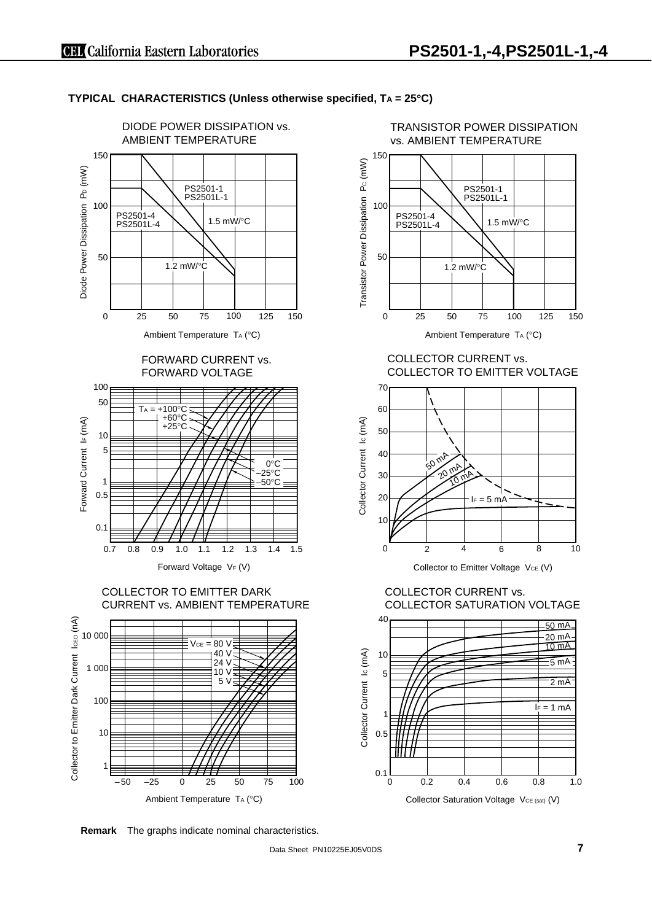



vs. AMBIENT TEMPERATURE 150 Transistor Power Dissipation Pc (mW) Transistor Power Dissipation Pc (mW) PS2501-1 PS2501L-1 100 PS2501-4 PS2501L-4 1.5 mW/°C 50 1.2 mW/°C 75 0 25 50 100 125 150

TRANSISTOR POWER DISSIPATION

Ambient Temperature TA (°C)

COLLECTOR CURRENT vs. COLLECTOR TO EMITTER VOLTAGE



Collector to Emitter Voltage VcE (V)

COLLECTOR CURRENT vs. COLLECTOR SATURATION VOLTAGE



**Remark** The graphs indicate nominal characteristics.

Data Sheet PN10225EJ05V0DS **7**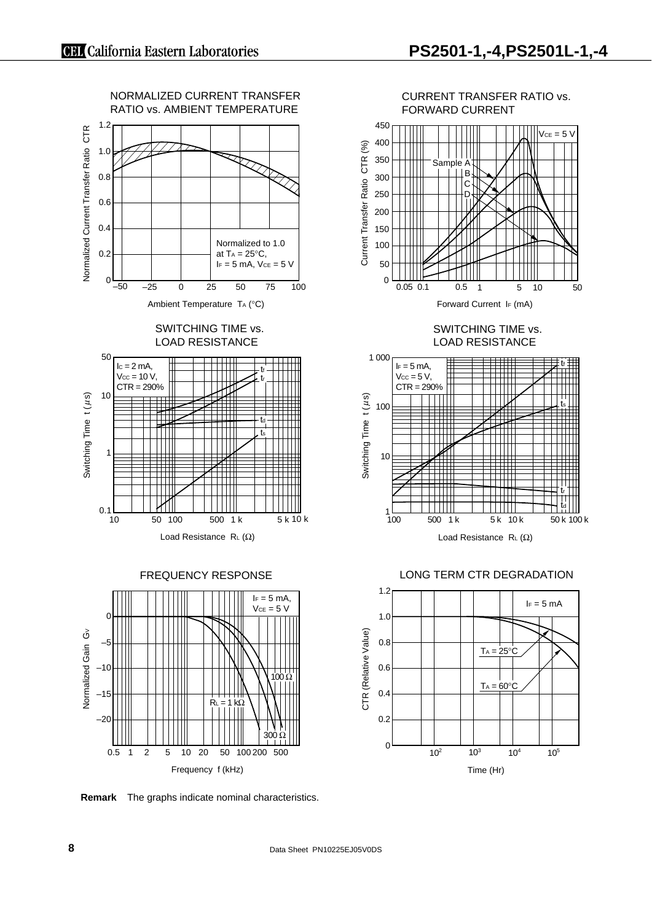

CURRENT TRANSFER RATIO vs. FORWARD CURRENT 450  $VCE = 5 V$ 



SWITCHING TIME vs. LOAD RESISTANCE



LONG TERM CTR DEGRADATION



**Remark** The graphs indicate nominal characteristics.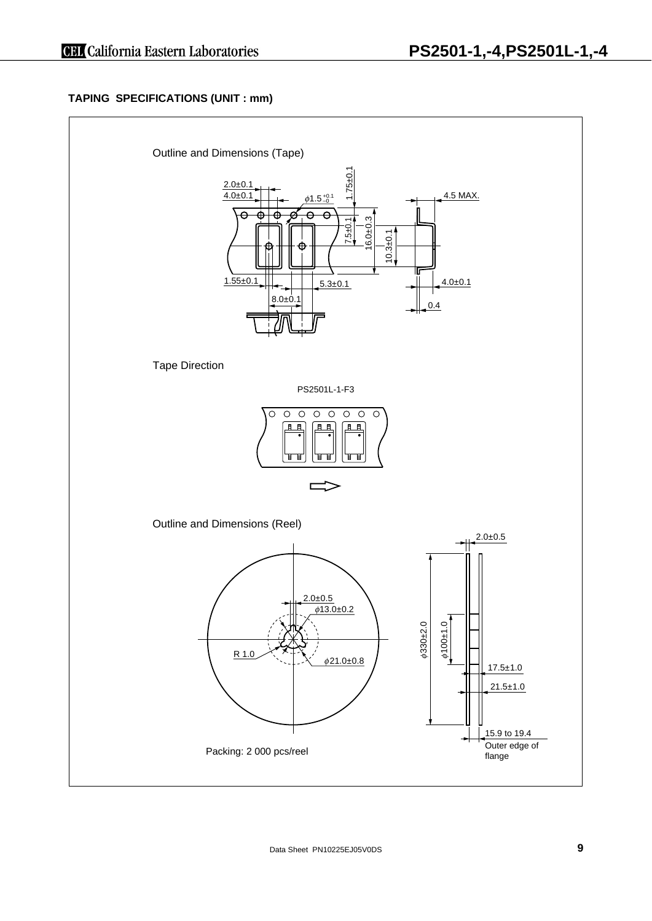# **TAPING SPECIFICATIONS (UNIT : mm)**

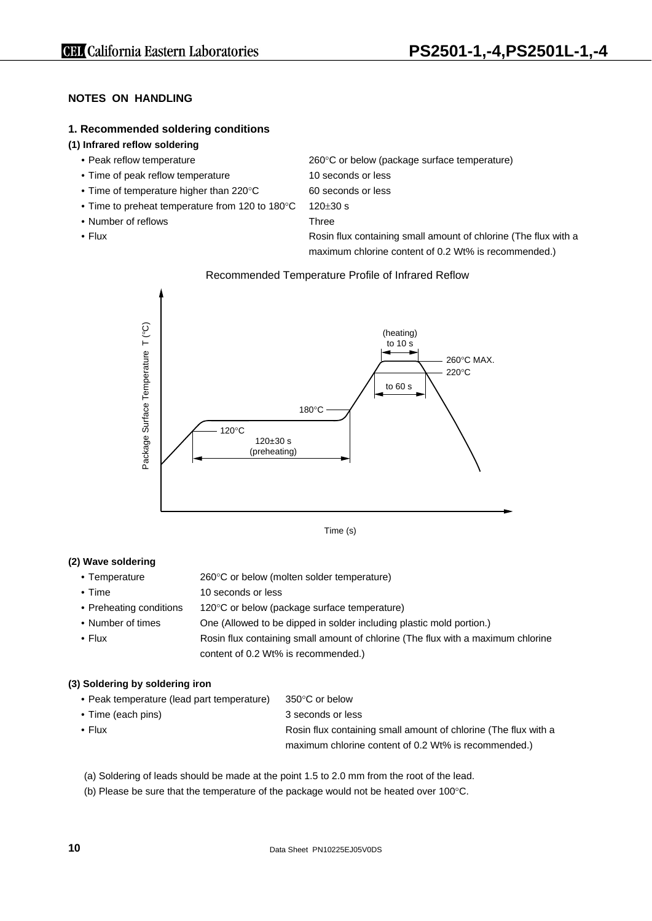# **NOTES ON HANDLING**

#### **1. Recommended soldering conditions**

## **(1) Infrared reflow soldering**

- Peak reflow temperature 260°C or below (package surface temperature)
- Time of peak reflow temperature 10 seconds or less
- Time of temperature higher than 220°C 60 seconds or less
- Time to preheat temperature from 120 to 180°C 120±30 s
- Number of reflows Three
- 

• Flux **Flux** Rosin flux containing small amount of chlorine (The flux with a

maximum chlorine content of 0.2 Wt% is recommended.)

#### Recommended Temperature Profile of Infrared Reflow



Time (s)

#### **(2) Wave soldering**

- Temperature 260°C or below (molten solder temperature)
- Time 10 seconds or less
- Preheating conditions 120°C or below (package surface temperature)
- Number of times One (Allowed to be dipped in solder including plastic mold portion.)
- Flux **Rosin flux containing small amount of chlorine** (The flux with a maximum chlorine content of 0.2 Wt% is recommended.)

#### **(3) Soldering by soldering iron**

| • Peak temperature (lead part temperature) | 350°C or below                                                  |
|--------------------------------------------|-----------------------------------------------------------------|
| • Time (each pins)                         | 3 seconds or less                                               |
| $\cdot$ Flux                               | Rosin flux containing small amount of chlorine (The flux with a |
|                                            | maximum chlorine content of 0.2 Wt% is recommended.)            |

- (a) Soldering of leads should be made at the point 1.5 to 2.0 mm from the root of the lead.
- (b) Please be sure that the temperature of the package would not be heated over 100°C.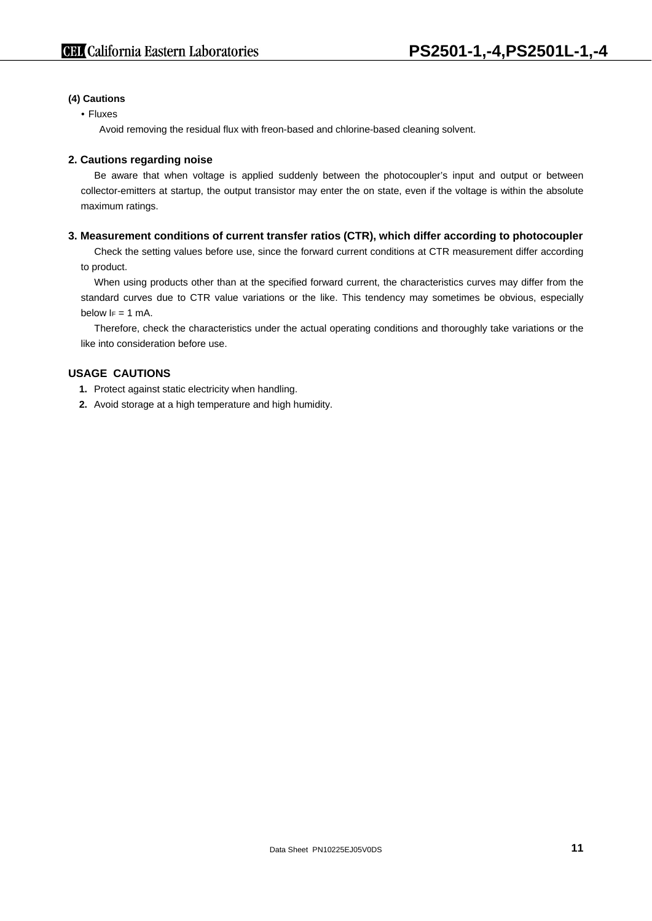#### **(4) Cautions**

#### • Fluxes

Avoid removing the residual flux with freon-based and chlorine-based cleaning solvent.

### **2. Cautions regarding noise**

Be aware that when voltage is applied suddenly between the photocoupler's input and output or between collector-emitters at startup, the output transistor may enter the on state, even if the voltage is within the absolute maximum ratings.

#### **3. Measurement conditions of current transfer ratios (CTR), which differ according to photocoupler**

Check the setting values before use, since the forward current conditions at CTR measurement differ according to product.

When using products other than at the specified forward current, the characteristics curves may differ from the standard curves due to CTR value variations or the like. This tendency may sometimes be obvious, especially below  $I_F = 1$  mA.

Therefore, check the characteristics under the actual operating conditions and thoroughly take variations or the like into consideration before use.

## **USAGE CAUTIONS**

- **1.** Protect against static electricity when handling.
- **2.** Avoid storage at a high temperature and high humidity.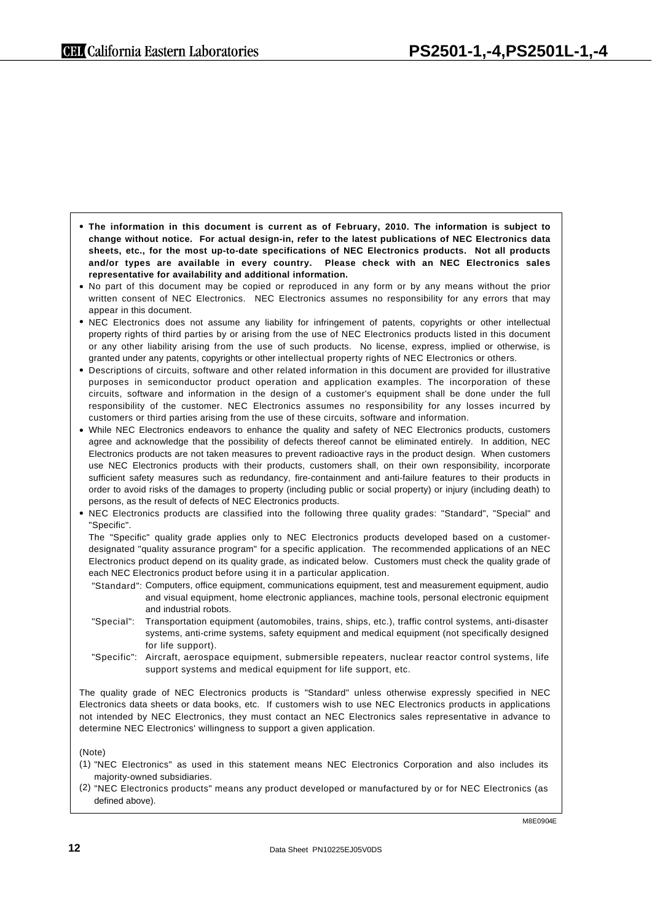**The information in this document is current as of February, 2010. The information is subject to**  • **change without notice. For actual design-in, refer to the latest publications of NEC Electronics data sheets, etc., for the most up-to-date specifications of NEC Electronics products. Not all products and/or types are available in every country. Please check with an NEC Electronics sales representative for availability and additional information.**

• No part of this document may be copied or reproduced in any form or by any means without the prior written consent of NEC Electronics. NEC Electronics assumes no responsibility for any errors that may appear in this document.

- NEC Electronics does not assume any liability for infringement of patents, copyrights or other intellectual property rights of third parties by or arising from the use of NEC Electronics products listed in this document or any other liability arising from the use of such products. No license, express, implied or otherwise, is granted under any patents, copyrights or other intellectual property rights of NEC Electronics or others.
- Descriptions of circuits, software and other related information in this document are provided for illustrative purposes in semiconductor product operation and application examples. The incorporation of these circuits, software and information in the design of a customer's equipment shall be done under the full responsibility of the customer. NEC Electronics assumes no responsibility for any losses incurred by customers or third parties arising from the use of these circuits, software and information.
- While NEC Electronics endeavors to enhance the quality and safety of NEC Electronics products, customers agree and acknowledge that the possibility of defects thereof cannot be eliminated entirely. In addition, NEC Electronics products are not taken measures to prevent radioactive rays in the product design. When customers use NEC Electronics products with their products, customers shall, on their own responsibility, incorporate sufficient safety measures such as redundancy, fire-containment and anti-failure features to their products in order to avoid risks of the damages to property (including public or social property) or injury (including death) to persons, as the result of defects of NEC Electronics products.
- NEC Electronics products are classified into the following three quality grades: "Standard", "Special" and "Specific".

The "Specific" quality grade applies only to NEC Electronics products developed based on a customerdesignated "quality assurance program" for a specific application. The recommended applications of an NEC Electronics product depend on its quality grade, as indicated below. Customers must check the quality grade of each NEC Electronics product before using it in a particular application.

- "Standard": Computers, office equipment, communications equipment, test and measurement equipment, audio and visual equipment, home electronic appliances, machine tools, personal electronic equipment and industrial robots.
- "Special": Transportation equipment (automobiles, trains, ships, etc.), traffic control systems, anti-disaster systems, anti-crime systems, safety equipment and medical equipment (not specifically designed for life support).
- "Specific": Aircraft, aerospace equipment, submersible repeaters, nuclear reactor control systems, life support systems and medical equipment for life support, etc.

The quality grade of NEC Electronics products is "Standard" unless otherwise expressly specified in NEC Electronics data sheets or data books, etc. If customers wish to use NEC Electronics products in applications not intended by NEC Electronics, they must contact an NEC Electronics sales representative in advance to determine NEC Electronics' willingness to support a given application.

(Note)

- (1) "NEC Electronics" as used in this statement means NEC Electronics Corporation and also includes its majority-owned subsidiaries.
- (2) "NEC Electronics products" means any product developed or manufactured by or for NEC Electronics (as defined above).